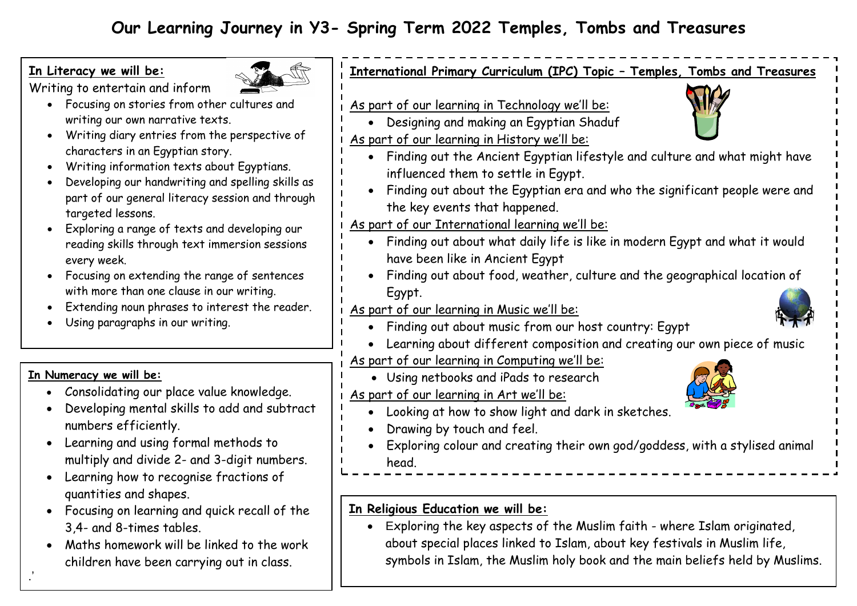# **Our Learning Journey in Y3- Spring Term 2022 Temples, Tombs and Treasures**

## **In Literacy we will be:**



Writing to entertain and inform

- Focusing on stories from other cultures and writing our own narrative texts.
- $\bullet$  Writing diary entries from the perspective characters in an Egyptian story.
- Writing information texts about Egyptians.
- Developing our handwriting and spelling skills part of our general literacy session and through targeted lessons.
- Exploring a range of texts and developing our reading skills through text immersion sessio every week.
- Focusing on extending the range of sentence with more than one clause in our writing.
- Extending noun phrases to interest the read
- Using paragraphs in our writing.

## **In Numeracy we will be:**

.'

- Consolidating our place value knowledge.
- Developing mental skills to add and subtr numbers efficiently.
- Learning and using formal methods to multiply and divide 2- and 3-digit number
- Learning how to recognise fractions of quantities and shapes.
- Focusing on learning and quick recall of t 3,4- and 8-times tables.
- Maths homework will be linked to the work children have been carrying out in class.

| <u>As part of our learning in Technology we'll be:</u>                      |
|-----------------------------------------------------------------------------|
| Designing and making an Egyptian Shaduf                                     |
| As part of our learning in History we'll be:                                |
| Finding out the Ancient Egyptian lifestyle and culture and what might have  |
| influenced them to settle in Egypt.                                         |
| Finding out about the Egyptian era and who the significant people were and  |
| the key events that happened.                                               |
| As part of our International learning we'll be:                             |
| Finding out about what daily life is like in modern Egypt and what it would |
| have been like in Ancient Egypt                                             |
| Finding out about food, weather, culture and the geographical location of   |
| Egypt.                                                                      |
| <u>As part of our learning in Music we'll be:</u>                           |
| Finding out about music from our host country: Egypt                        |
| Learning about different composition and creating our own piece of music    |
| As part of our learning in Computing we'll be:                              |
| Using netbooks and iPads to research                                        |
| As part of our learning in Art we'll be:                                    |
| Looking at how to show light and dark in sketches.                          |
| Drawing by touch and feel.                                                  |
| Exploring colour and creating their own god/goddess, with a stylised animal |
| head.                                                                       |

 Exploring the key aspects of the Muslim faith - where Islam originated, about special places linked to Islam, about key festivals in Muslim life, symbols in Islam, the Muslim holy book and the main beliefs held by Muslims.